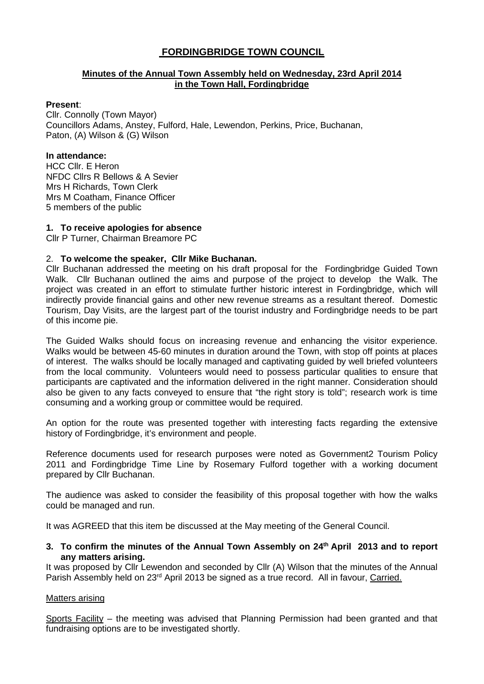# **FORDINGBRIDGE TOWN COUNCIL**

## **Minutes of the Annual Town Assembly held on Wednesday, 23rd April 2014 in the Town Hall, Fordingbridge**

#### **Present**:

Cllr. Connolly (Town Mayor) Councillors Adams, Anstey, Fulford, Hale, Lewendon, Perkins, Price, Buchanan, Paton, (A) Wilson & (G) Wilson

### **In attendance:**

HCC Cllr. E Heron NFDC Cllrs R Bellows & A Sevier Mrs H Richards, Town Clerk Mrs M Coatham, Finance Officer 5 members of the public

### **1. To receive apologies for absence**

Cllr P Turner, Chairman Breamore PC

## 2. **To welcome the speaker, Cllr Mike Buchanan.**

Cllr Buchanan addressed the meeting on his draft proposal for the Fordingbridge Guided Town Walk. Cllr Buchanan outlined the aims and purpose of the project to develop the Walk. The project was created in an effort to stimulate further historic interest in Fordingbridge, which will indirectly provide financial gains and other new revenue streams as a resultant thereof. Domestic Tourism, Day Visits, are the largest part of the tourist industry and Fordingbridge needs to be part of this income pie.

The Guided Walks should focus on increasing revenue and enhancing the visitor experience. Walks would be between 45-60 minutes in duration around the Town, with stop off points at places of interest. The walks should be locally managed and captivating guided by well briefed volunteers from the local community. Volunteers would need to possess particular qualities to ensure that participants are captivated and the information delivered in the right manner. Consideration should also be given to any facts conveyed to ensure that "the right story is told"; research work is time consuming and a working group or committee would be required.

An option for the route was presented together with interesting facts regarding the extensive history of Fordingbridge, it's environment and people.

Reference documents used for research purposes were noted as Government2 Tourism Policy 2011 and Fordingbridge Time Line by Rosemary Fulford together with a working document prepared by Cllr Buchanan.

The audience was asked to consider the feasibility of this proposal together with how the walks could be managed and run.

It was AGREED that this item be discussed at the May meeting of the General Council.

### **3. To confirm the minutes of the Annual Town Assembly on 24th April 2013 and to report any matters arising.**

It was proposed by Cllr Lewendon and seconded by Cllr (A) Wilson that the minutes of the Annual Parish Assembly held on 23<sup>rd</sup> April 2013 be signed as a true record. All in favour, Carried.

#### Matters arising

Sports Facility – the meeting was advised that Planning Permission had been granted and that fundraising options are to be investigated shortly.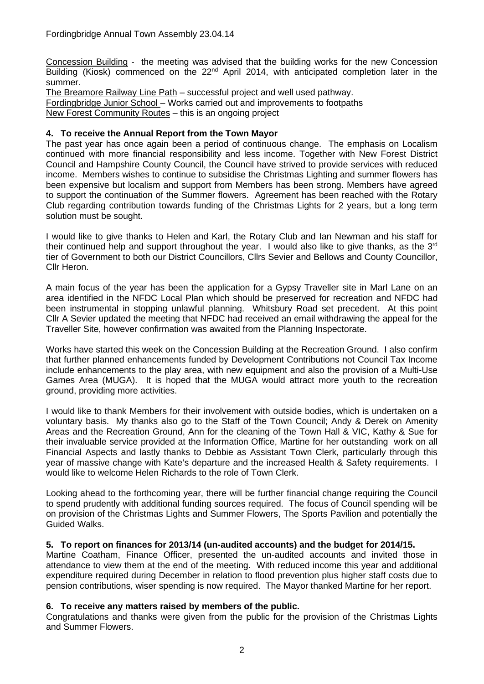Concession Building - the meeting was advised that the building works for the new Concession Building (Kiosk) commenced on the 22<sup>nd</sup> April 2014, with anticipated completion later in the summer.

The Breamore Railway Line Path – successful project and well used pathway. Fordingbridge Junior School – Works carried out and improvements to footpaths New Forest Community Routes – this is an ongoing project

# **4. To receive the Annual Report from the Town Mayor**

The past year has once again been a period of continuous change. The emphasis on Localism continued with more financial responsibility and less income. Together with New Forest District Council and Hampshire County Council, the Council have strived to provide services with reduced income. Members wishes to continue to subsidise the Christmas Lighting and summer flowers has been expensive but localism and support from Members has been strong. Members have agreed to support the continuation of the Summer flowers. Agreement has been reached with the Rotary Club regarding contribution towards funding of the Christmas Lights for 2 years, but a long term solution must be sought.

I would like to give thanks to Helen and Karl, the Rotary Club and Ian Newman and his staff for their continued help and support throughout the year. I would also like to give thanks, as the 3<sup>rd</sup> tier of Government to both our District Councillors, Cllrs Sevier and Bellows and County Councillor, Cllr Heron.

A main focus of the year has been the application for a Gypsy Traveller site in Marl Lane on an area identified in the NFDC Local Plan which should be preserved for recreation and NFDC had been instrumental in stopping unlawful planning. Whitsbury Road set precedent. At this point Cllr A Sevier updated the meeting that NFDC had received an email withdrawing the appeal for the Traveller Site, however confirmation was awaited from the Planning Inspectorate.

Works have started this week on the Concession Building at the Recreation Ground. I also confirm that further planned enhancements funded by Development Contributions not Council Tax Income include enhancements to the play area, with new equipment and also the provision of a Multi-Use Games Area (MUGA). It is hoped that the MUGA would attract more youth to the recreation ground, providing more activities.

I would like to thank Members for their involvement with outside bodies, which is undertaken on a voluntary basis. My thanks also go to the Staff of the Town Council; Andy & Derek on Amenity Areas and the Recreation Ground, Ann for the cleaning of the Town Hall & VIC, Kathy & Sue for their invaluable service provided at the Information Office, Martine for her outstanding work on all Financial Aspects and lastly thanks to Debbie as Assistant Town Clerk, particularly through this year of massive change with Kate's departure and the increased Health & Safety requirements. I would like to welcome Helen Richards to the role of Town Clerk.

Looking ahead to the forthcoming year, there will be further financial change requiring the Council to spend prudently with additional funding sources required. The focus of Council spending will be on provision of the Christmas Lights and Summer Flowers, The Sports Pavilion and potentially the Guided Walks.

## **5. To report on finances for 2013/14 (un-audited accounts) and the budget for 2014/15.**

Martine Coatham, Finance Officer, presented the un-audited accounts and invited those in attendance to view them at the end of the meeting. With reduced income this year and additional expenditure required during December in relation to flood prevention plus higher staff costs due to pension contributions, wiser spending is now required. The Mayor thanked Martine for her report.

## **6. To receive any matters raised by members of the public.**

Congratulations and thanks were given from the public for the provision of the Christmas Lights and Summer Flowers.